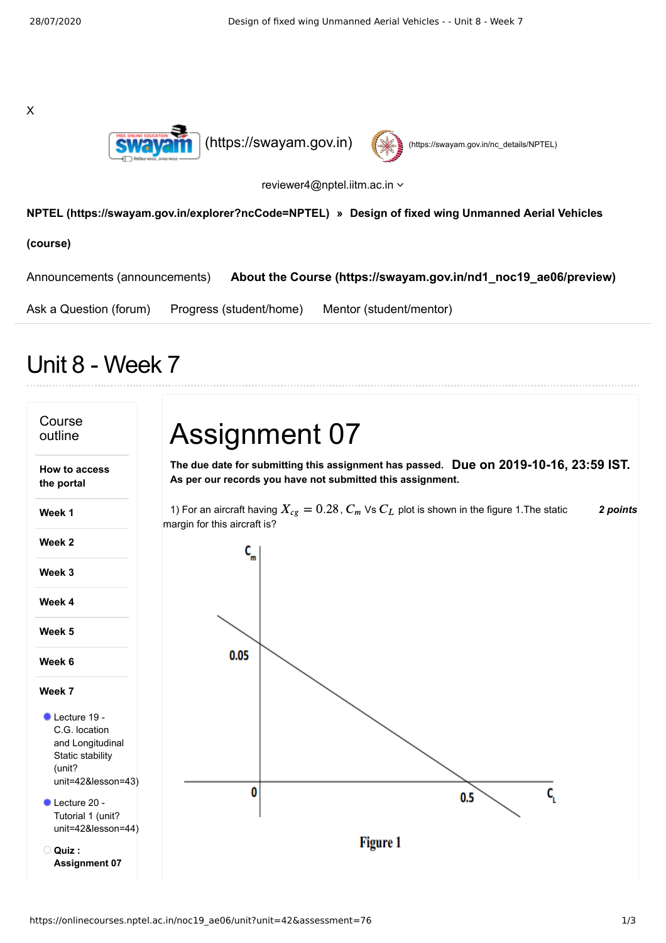|             | I<br>I |
|-------------|--------|
| I<br>¢<br>i | i<br>ć |
|             |        |





reviewer4@nptel.iitm.ac.in

## **[NPTEL \(https://swayam.gov.in/explorer?ncCode=NPTEL\)](https://swayam.gov.in/explorer?ncCode=NPTEL) » Design of fixed wing Unmanned Aerial Vehicles**

**(course)**

[Announcements \(announcements\)](https://onlinecourses.nptel.ac.in/noc19_ae06/announcements) **[About the Course \(https://swayam.gov.in/nd1\\_noc19\\_ae06/preview\)](https://swayam.gov.in/nd1_noc19_ae06/preview)**

[Ask a Question \(forum\)](https://onlinecourses.nptel.ac.in/noc19_ae06/forum) [Progress \(student/home\)](https://onlinecourses.nptel.ac.in/noc19_ae06/student/home) [Mentor \(student/mentor\)](https://onlinecourses.nptel.ac.in/noc19_ae06/student/mentor)

## Unit 8 - Week 7

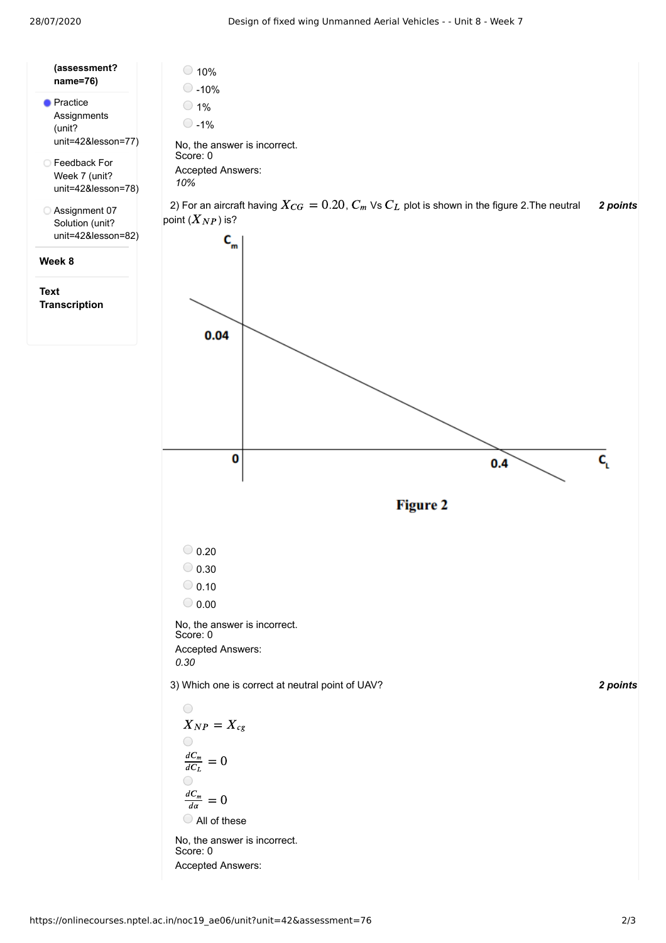28/07/2020 Design of fixed wing Unmanned Aerial Vehicles - - Unit 8 - Week 7

| (assessment?<br>name=76)                                       | 10%<br>$-10%$<br>1%<br>$-1%$<br>No, the answer i |
|----------------------------------------------------------------|--------------------------------------------------|
| <b>Practice</b><br>Assignments<br>(unit?<br>unit=42&lesson=77) |                                                  |
| ◯ Feedback For<br>Week 7 (unit?<br>unit=42&lesson=78)          | Score: 0<br><b>Accepted Answe</b><br>10%         |
| Assignment 07<br>Solution (unit?<br>unit=42&lesson=82)         | 2) For an aircraft<br>point $(X_{NP})$ is?       |
| Week 8                                                         |                                                  |

**Text Transcription**